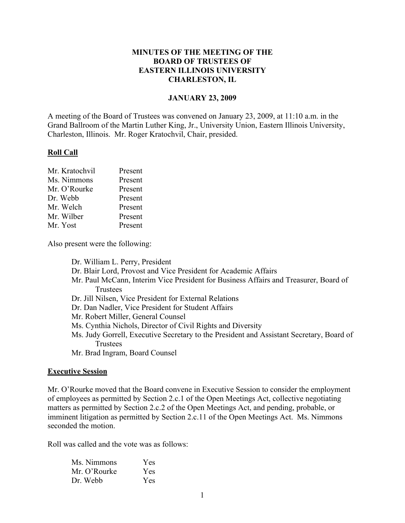## **MINUTES OF THE MEETING OF THE BOARD OF TRUSTEES OF EASTERN ILLINOIS UNIVERSITY CHARLESTON, IL**

#### **JANUARY 23, 2009**

A meeting of the Board of Trustees was convened on January 23, 2009, at 11:10 a.m. in the Grand Ballroom of the Martin Luther King, Jr., University Union, Eastern Illinois University, Charleston, Illinois. Mr. Roger Kratochvil, Chair, presided.

#### **Roll Call**

| Mr. Kratochvil | Present |
|----------------|---------|
| Ms. Nimmons    | Present |
| Mr. O'Rourke   | Present |
| Dr. Webb       | Present |
| Mr. Welch      | Present |
| Mr. Wilber     | Present |
| Mr. Yost       | Present |

Also present were the following:

Dr. William L. Perry, President Dr. Blair Lord, Provost and Vice President for Academic Affairs Mr. Paul McCann, Interim Vice President for Business Affairs and Treasurer, Board of **Trustees** Dr. Jill Nilsen, Vice President for External Relations Dr. Dan Nadler, Vice President for Student Affairs Mr. Robert Miller, General Counsel Ms. Cynthia Nichols, Director of Civil Rights and Diversity Ms. Judy Gorrell, Executive Secretary to the President and Assistant Secretary, Board of **Trustees** 

Mr. Brad Ingram, Board Counsel

#### **Executive Session**

Mr. O'Rourke moved that the Board convene in Executive Session to consider the employment of employees as permitted by Section 2.c.1 of the Open Meetings Act, collective negotiating matters as permitted by Section 2.c.2 of the Open Meetings Act, and pending, probable, or imminent litigation as permitted by Section 2.c.11 of the Open Meetings Act. Ms. Nimmons seconded the motion.

Roll was called and the vote was as follows:

| Ms. Nimmons  | Yes        |
|--------------|------------|
| Mr. O'Rourke | Yes        |
| Dr. Webb     | <b>Yes</b> |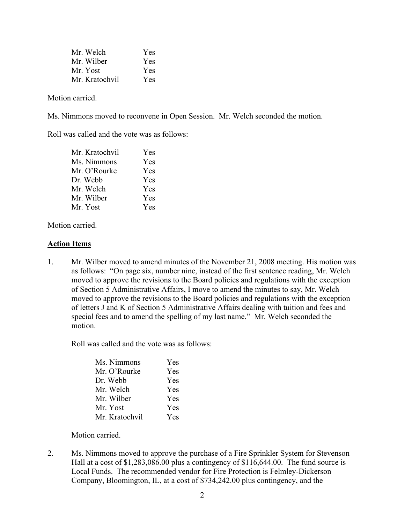| Mr. Welch      | Yes |
|----------------|-----|
| Mr. Wilber     | Yes |
| Mr Yost        | Yes |
| Mr. Kratochvil | Yes |

Motion carried.

Ms. Nimmons moved to reconvene in Open Session. Mr. Welch seconded the motion.

Roll was called and the vote was as follows:

| Yes |
|-----|
| Yes |
| Yes |
| Yes |
| Yes |
| Yes |
| Yes |
|     |

Motion carried.

#### **Action Items**

1. Mr. Wilber moved to amend minutes of the November 21, 2008 meeting. His motion was as follows: "On page six, number nine, instead of the first sentence reading, Mr. Welch moved to approve the revisions to the Board policies and regulations with the exception of Section 5 Administrative Affairs, I move to amend the minutes to say, Mr. Welch moved to approve the revisions to the Board policies and regulations with the exception of letters J and K of Section 5 Administrative Affairs dealing with tuition and fees and special fees and to amend the spelling of my last name." Mr. Welch seconded the motion.

Roll was called and the vote was as follows:

| Ms. Nimmons    | Yes |
|----------------|-----|
| Mr. O'Rourke   | Yes |
| Dr. Webb       | Yes |
| Mr. Welch      | Yes |
| Mr. Wilber     | Yes |
| Mr. Yost       | Yes |
| Mr. Kratochvil | Yes |

Motion carried.

2. Ms. Nimmons moved to approve the purchase of a Fire Sprinkler System for Stevenson Hall at a cost of \$1,283,086.00 plus a contingency of \$116,644.00. The fund source is Local Funds. The recommended vendor for Fire Protection is Felmley-Dickerson Company, Bloomington, IL, at a cost of \$734,242.00 plus contingency, and the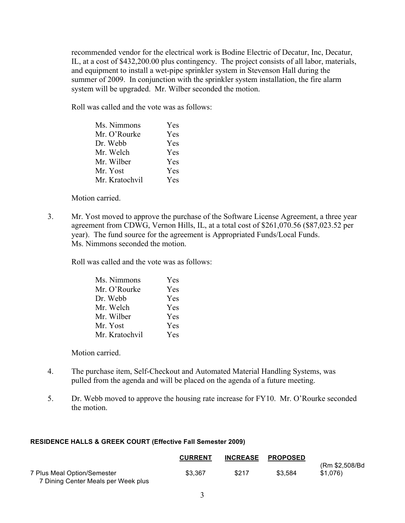recommended vendor for the electrical work is Bodine Electric of Decatur, Inc, Decatur, IL, at a cost of \$432,200.00 plus contingency. The project consists of all labor, materials, and equipment to install a wet-pipe sprinkler system in Stevenson Hall during the summer of 2009. In conjunction with the sprinkler system installation, the fire alarm system will be upgraded. Mr. Wilber seconded the motion.

Roll was called and the vote was as follows:

| Ms. Nimmons    | Yes |
|----------------|-----|
| Mr. O'Rourke   | Yes |
| Dr. Webb       | Yes |
| Mr. Welch      | Yes |
| Mr. Wilber     | Yes |
| Mr. Yost       | Yes |
| Mr. Kratochvil | Yes |

Motion carried.

3. Mr. Yost moved to approve the purchase of the Software License Agreement, a three year agreement from CDWG, Vernon Hills, IL, at a total cost of \$261,070.56 (\$87,023.52 per year). The fund source for the agreement is Appropriated Funds/Local Funds. Ms. Nimmons seconded the motion.

Roll was called and the vote was as follows:

| Ms. Nimmons    | Yes |
|----------------|-----|
| Mr. O'Rourke   | Yes |
| Dr. Webb       | Yes |
| Mr. Welch      | Yes |
| Mr. Wilber     | Yes |
| Mr. Yost       | Yes |
| Mr. Kratochvil | Yes |

Motion carried.

- 4. The purchase item, Self-Checkout and Automated Material Handling Systems, was pulled from the agenda and will be placed on the agenda of a future meeting.
- 5. Dr. Webb moved to approve the housing rate increase for FY10. Mr. O'Rourke seconded the motion.

### **RESIDENCE HALLS & GREEK COURT (Effective Fall Semester 2009)**

|                                                                    | <b>CURRENT</b> |       | INCREASE PROPOSED |                             |
|--------------------------------------------------------------------|----------------|-------|-------------------|-----------------------------|
| 7 Plus Meal Option/Semester<br>7 Dining Center Meals per Week plus | \$3.367        | \$217 | \$3.584           | (Rm \$2,508/Bd)<br>\$1.076) |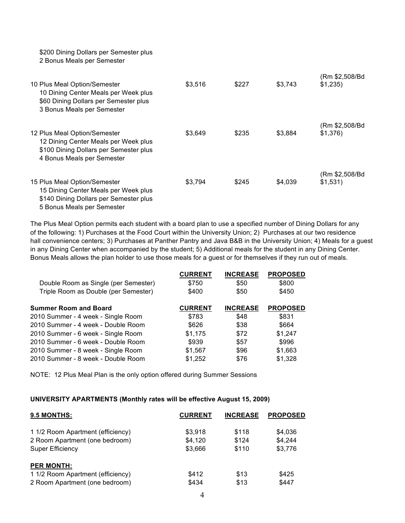\$200 Dining Dollars per Semester plus 2 Bonus Meals per Semester

| 10 Plus Meal Option/Semester<br>10 Dining Center Meals per Week plus<br>\$60 Dining Dollars per Semester plus<br>3 Bonus Meals per Semester  | \$3,516 | \$227 | \$3,743 | (Rm \$2,508/Bd<br>\$1,235) |
|----------------------------------------------------------------------------------------------------------------------------------------------|---------|-------|---------|----------------------------|
| 12 Plus Meal Option/Semester<br>12 Dining Center Meals per Week plus<br>\$100 Dining Dollars per Semester plus<br>4 Bonus Meals per Semester | \$3,649 | \$235 | \$3,884 | (Rm \$2,508/Bd<br>\$1,376  |
| 15 Plus Meal Option/Semester<br>15 Dining Center Meals per Week plus<br>\$140 Dining Dollars per Semester plus<br>5 Bonus Meals per Semester | \$3.794 | \$245 | \$4,039 | (Rm \$2,508/Bd<br>\$1,531  |

The Plus Meal Option permits each student with a board plan to use a specified number of Dining Dollars for any of the following: 1) Purchases at the Food Court within the University Union; 2) Purchases at our two residence hall convenience centers; 3) Purchases at Panther Pantry and Java B&B in the University Union; 4) Meals for a guest in any Dining Center when accompanied by the student; 5) Additional meals for the student in any Dining Center. Bonus Meals allows the plan holder to use those meals for a guest or for themselves if they run out of meals.

|                                      | <b>CURRENT</b> | <b>INCREASE</b> | <b>PROPOSED</b> |
|--------------------------------------|----------------|-----------------|-----------------|
| Double Room as Single (per Semester) | \$750          | \$50            | \$800           |
| Triple Room as Double (per Semester) | \$400          | \$50            | \$450           |
| <b>Summer Room and Board</b>         | <b>CURRENT</b> | <b>INCREASE</b> | <b>PROPOSED</b> |
| 2010 Summer - 4 week - Single Room   | \$783          | \$48            | \$831           |
| 2010 Summer - 4 week - Double Room   | \$626          | \$38            | \$664           |
| 2010 Summer - 6 week - Single Room   | \$1.175        | \$72            | \$1.247         |
| 2010 Summer - 6 week - Double Room   | \$939          | \$57            | \$996           |
| 2010 Summer - 8 week - Single Room   | \$1,567        | \$96            | \$1,663         |
| 2010 Summer - 8 week - Double Room   | \$1,252        | \$76            | \$1.328         |

NOTE: 12 Plus Meal Plan is the only option offered during Summer Sessions

#### **UNIVERSITY APARTMENTS (Monthly rates will be effective August 15, 2009)**

| 9.5 MONTHS:                       | <b>CURRENT</b> | <b>INCREASE</b> | <b>PROPOSED</b> |
|-----------------------------------|----------------|-----------------|-----------------|
| 1 1/2 Room Apartment (efficiency) | \$3.918        | \$118           | \$4,036         |
| 2 Room Apartment (one bedroom)    | \$4.120        | \$124           | \$4.244         |
| Super Efficiency                  | \$3.666        | \$110           | \$3,776         |
| <b>PER MONTH:</b>                 |                |                 |                 |
| 1 1/2 Room Apartment (efficiency) | \$412          | \$13            | \$425           |
| 2 Room Apartment (one bedroom)    | \$434          | \$13            | \$447           |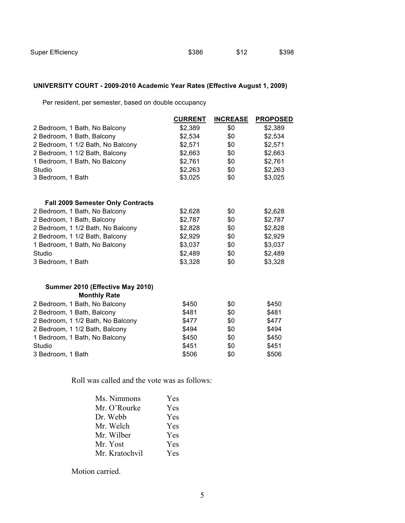## **UNIVERSITY COURT - 2009-2010 Academic Year Rates (Effective August 1, 2009)**

Per resident, per semester, based on double occupancy

|                                          | <b>CURRENT</b> | <b>INCREASE</b> | <b>PROPOSED</b> |
|------------------------------------------|----------------|-----------------|-----------------|
| 2 Bedroom, 1 Bath, No Balcony            | \$2,389        | \$0             | \$2,389         |
| 2 Bedroom, 1 Bath, Balcony               | \$2,534        | \$0             | \$2,534         |
| 2 Bedroom, 1 1/2 Bath, No Balcony        | \$2,571        | \$0             | \$2,571         |
| 2 Bedroom, 1 1/2 Bath, Balcony           | \$2,663        | \$0             | \$2,663         |
| 1 Bedroom, 1 Bath, No Balcony            | \$2,761        | \$0             | \$2,761         |
| Studio                                   | \$2,263        | \$0             | \$2,263         |
| 3 Bedroom, 1 Bath                        | \$3,025        | \$0             | \$3,025         |
| <b>Fall 2009 Semester Only Contracts</b> |                |                 |                 |
| 2 Bedroom, 1 Bath, No Balcony            | \$2,628        | \$0             | \$2,628         |
| 2 Bedroom, 1 Bath, Balcony               | \$2,787        | \$0             | \$2,787         |
| 2 Bedroom, 1 1/2 Bath, No Balcony        | \$2,828        | \$0             | \$2,828         |
| 2 Bedroom, 1 1/2 Bath, Balcony           | \$2,929        | \$0             | \$2,929         |
| 1 Bedroom, 1 Bath, No Balcony            | \$3,037        | \$0             | \$3,037         |
| Studio                                   | \$2,489        | \$0             | \$2,489         |
| 3 Bedroom, 1 Bath                        | \$3,328        | \$0             | \$3,328         |
| Summer 2010 (Effective May 2010)         |                |                 |                 |
| <b>Monthly Rate</b>                      |                |                 |                 |
| 2 Bedroom, 1 Bath, No Balcony            | \$450          | \$0             | \$450           |
| 2 Bedroom, 1 Bath, Balcony               | \$481          | \$0             | \$481           |
| 2 Bedroom, 1 1/2 Bath, No Balcony        | \$477          | \$0             | \$477           |
| 2 Bedroom, 1 1/2 Bath, Balcony           | \$494          | \$0             | \$494           |
| 1 Bedroom, 1 Bath, No Balcony            | \$450          | \$0             | \$450           |
| Studio                                   | \$451          | \$0             | \$451           |
| 3 Bedroom, 1 Bath                        | \$506          | \$0             | \$506           |

Roll was called and the vote was as follows:

| Ms. Nimmons    | Yes |
|----------------|-----|
| Mr. O'Rourke   | Yes |
| Dr. Webb       | Yes |
| Mr. Welch      | Yes |
| Mr. Wilber     | Yes |
| Mr. Yost       | Yes |
| Mr. Kratochvil | Yes |

Motion carried.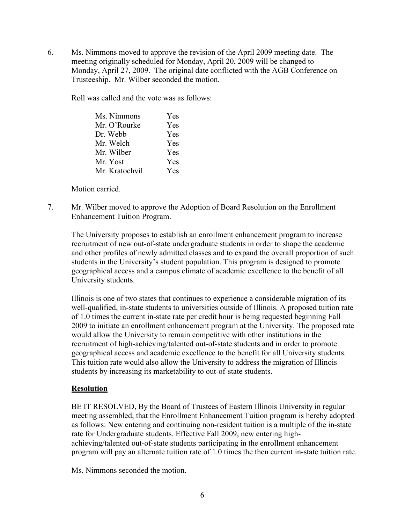6. Ms. Nimmons moved to approve the revision of the April 2009 meeting date. The meeting originally scheduled for Monday, April 20, 2009 will be changed to Monday, April 27, 2009. The original date conflicted with the AGB Conference on Trusteeship. Mr. Wilber seconded the motion.

Roll was called and the vote was as follows:

| Ms. Nimmons    | Yes |
|----------------|-----|
| Mr. O'Rourke   | Yes |
| Dr. Webb       | Yes |
| Mr. Welch      | Yes |
| Mr. Wilber     | Yes |
| Mr. Yost       | Yes |
| Mr. Kratochvil | Yes |

Motion carried.

7. Mr. Wilber moved to approve the Adoption of Board Resolution on the Enrollment Enhancement Tuition Program.

The University proposes to establish an enrollment enhancement program to increase recruitment of new out-of-state undergraduate students in order to shape the academic and other profiles of newly admitted classes and to expand the overall proportion of such students in the University's student population. This program is designed to promote geographical access and a campus climate of academic excellence to the benefit of all University students.

Illinois is one of two states that continues to experience a considerable migration of its well-qualified, in-state students to universities outside of Illinois. A proposed tuition rate of 1.0 times the current in-state rate per credit hour is being requested beginning Fall 2009 to initiate an enrollment enhancement program at the University. The proposed rate would allow the University to remain competitive with other institutions in the recruitment of high-achieving/talented out-of-state students and in order to promote geographical access and academic excellence to the benefit for all University students. This tuition rate would also allow the University to address the migration of Illinois students by increasing its marketability to out-of-state students.

# **Resolution**

BE IT RESOLVED, By the Board of Trustees of Eastern Illinois University in regular meeting assembled, that the Enrollment Enhancement Tuition program is hereby adopted as follows: New entering and continuing non-resident tuition is a multiple of the in-state rate for Undergraduate students. Effective Fall 2009, new entering highachieving/talented out-of-state students participating in the enrollment enhancement program will pay an alternate tuition rate of 1.0 times the then current in-state tuition rate.

Ms. Nimmons seconded the motion.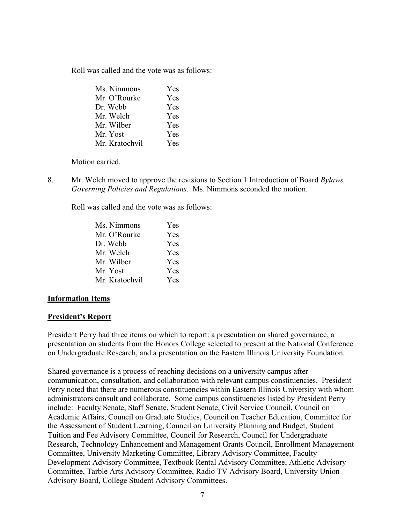Roll was called and the vote was as follows:

| Ms. Nimmons    | Yes |
|----------------|-----|
| Mr. O'Rourke   | Yes |
| Dr. Webb       | Yes |
| Mr. Welch      | Yes |
| Mr. Wilber     | Yes |
| Mr. Yost       | Yes |
| Mr. Kratochvil | Yes |

Motion carried.

8. Mr. Welch moved to approve the revisions to Section 1 Introduction of Board *Bylaws, Governing Policies and Regulations*. Ms. Nimmons seconded the motion.

Roll was called and the vote was as follows:

| Ms. Nimmons    | <b>Yes</b> |
|----------------|------------|
| Mr. O'Rourke   | Yes        |
| Dr. Webb       | Yes        |
| Mr. Welch      | Yes        |
| Mr. Wilber     | Yes        |
| Mr. Yost       | Yes        |
| Mr. Kratochvil | Yes        |

### **Information Items**

### **President's Report**

President Perry had three items on which to report: a presentation on shared governance, a presentation on students from the Honors College selected to present at the National Conference on Undergraduate Research, and a presentation on the Eastern Illinois University Foundation.

Shared governance is a process of reaching decisions on a university campus after communication, consultation, and collaboration with relevant campus constituencies. President Perry noted that there are numerous constituencies within Eastern Illinois University with whom administrators consult and collaborate. Some campus constituencies listed by President Perry include: Faculty Senate, Staff Senate, Student Senate, Civil Service Council, Council on Academic Affairs, Council on Graduate Studies, Council on Teacher Education, Committee for the Assessment of Student Learning, Council on University Planning and Budget, Student Tuition and Fee Advisory Committee, Council for Research, Council for Undergraduate Research, Technology Enhancement and Management Grants Council, Enrollment Management Committee, University Marketing Committee, Library Advisory Committee, Faculty Development Advisory Committee, Textbook Rental Advisory Committee, Athletic Advisory Committee, Tarble Arts Advisory Committee, Radio TV Advisory Board, University Union Advisory Board, College Student Advisory Committees.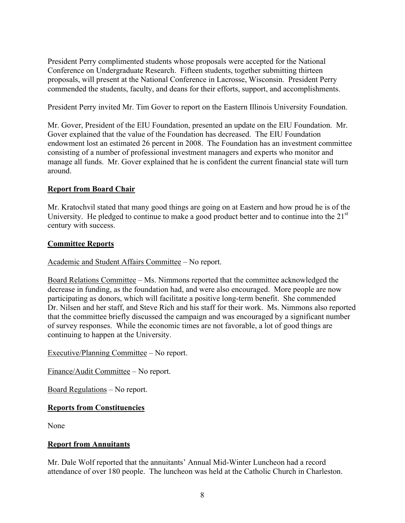President Perry complimented students whose proposals were accepted for the National Conference on Undergraduate Research. Fifteen students, together submitting thirteen proposals, will present at the National Conference in Lacrosse, Wisconsin. President Perry commended the students, faculty, and deans for their efforts, support, and accomplishments.

President Perry invited Mr. Tim Gover to report on the Eastern Illinois University Foundation.

Mr. Gover, President of the EIU Foundation, presented an update on the EIU Foundation. Mr. Gover explained that the value of the Foundation has decreased. The EIU Foundation endowment lost an estimated 26 percent in 2008. The Foundation has an investment committee consisting of a number of professional investment managers and experts who monitor and manage all funds. Mr. Gover explained that he is confident the current financial state will turn around.

# **Report from Board Chair**

Mr. Kratochvil stated that many good things are going on at Eastern and how proud he is of the University. He pledged to continue to make a good product better and to continue into the  $21<sup>st</sup>$ century with success.

# **Committee Reports**

# Academic and Student Affairs Committee – No report.

Board Relations Committee – Ms. Nimmons reported that the committee acknowledged the decrease in funding, as the foundation had, and were also encouraged. More people are now participating as donors, which will facilitate a positive long-term benefit. She commended Dr. Nilsen and her staff, and Steve Rich and his staff for their work. Ms. Nimmons also reported that the committee briefly discussed the campaign and was encouraged by a significant number of survey responses. While the economic times are not favorable, a lot of good things are continuing to happen at the University.

Executive/Planning Committee – No report.

Finance/Audit Committee – No report.

Board Regulations – No report.

# **Reports from Constituencies**

None

# **Report from Annuitants**

Mr. Dale Wolf reported that the annuitants' Annual Mid-Winter Luncheon had a record attendance of over 180 people. The luncheon was held at the Catholic Church in Charleston.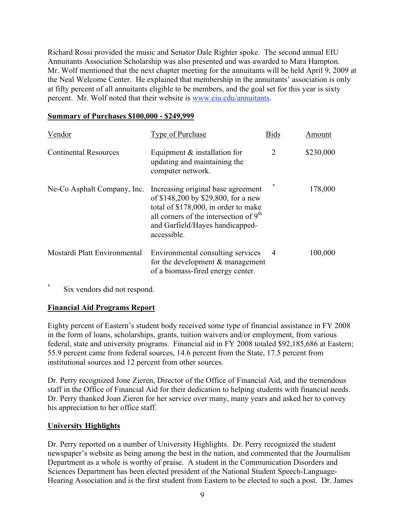Richard Rossi provided the music and Senator Dale Righter spoke. The second annual EIU Annuitants Association Scholarship was also presented and was awarded to Mara Hampton. Mr. Wolf mentioned that the next chapter meeting for the annuitants will be held April 9, 2009 at the Neal Welcome Center. He explained that membership in the annuitants' association is only at fifty percent of all annuitants eligible to be members, and the goal set for this year is sixty percent. Mr. Wolf noted that their website is www.eiu.edu/annuitants.

### **Summary of Purchases \$100,000 - \$249,999**

| Vendor                       | Type of Purchase                                                                                                                                                                                                | <b>Bids</b>    | Amount    |
|------------------------------|-----------------------------------------------------------------------------------------------------------------------------------------------------------------------------------------------------------------|----------------|-----------|
| <b>Continental Resources</b> | Equipment $&$ installation for<br>updating and maintaining the<br>computer network.                                                                                                                             | 2              | \$230,000 |
| Ne-Co Asphalt Company, Inc.  | Increasing original base agreement<br>of \$148,200 by \$29,800, for a new<br>total of \$178,000, in order to make<br>all corners of the intersection of $9th$<br>and Garfield/Hayes handicapped-<br>accessible. | *              | 178,000   |
| Mostardi Platt Environmental | Environmental consulting services<br>for the development $\&$ management<br>of a biomass-fired energy center.                                                                                                   | $\overline{4}$ | 100,000   |

Six vendors did not respond.

# **Financial Aid Programs Report**

Eighty percent of Eastern's student body received some type of financial assistance in FY 2008 in the form of loans, scholarships, grants, tuition waivers and/or employment, from various federal, state and university programs. Financial aid in FY 2008 totaled \$92,185,686 at Eastern; 55.9 percent came from federal sources, 14.6 percent from the State, 17.5 percent from institutional sources and 12 percent from other sources.

Dr. Perry recognized Jone Zieren, Director of the Office of Financial Aid, and the tremendous staff in the Office of Financial Aid for their dedication to helping students with financial needs. Dr. Perry thanked Joan Zieren for her service over many, many years and asked her to convey his appreciation to her office staff.

# **University Highlights**

Dr. Perry reported on a number of University Highlights. Dr. Perry recognized the student newspaper's website as being among the best in the nation, and commented that the Journalism Department as a whole is worthy of praise. A student in the Communication Disorders and Sciences Department has been elected president of the National Student Speech-Language-Hearing Association and is the first student from Eastern to be elected to such a post. Dr. James